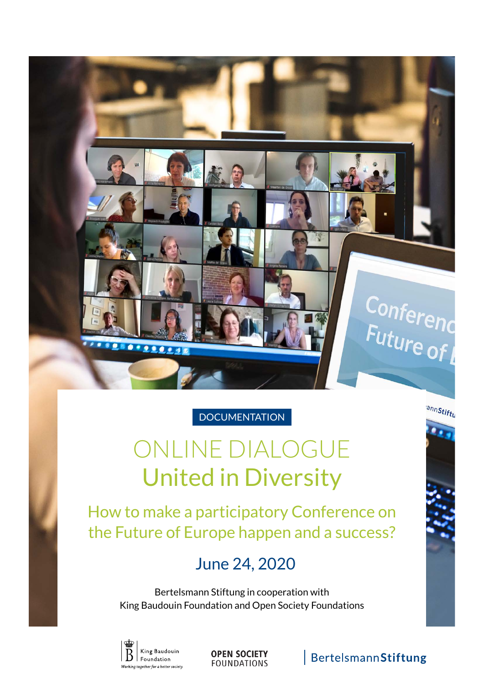

### **DOCUMENTATION**

# ONLINE DIALOGUE United in Diversity

How to make a participatory Conference on the Future of Europe happen and a success?

### June 24, 2020

Bertelsmann Stiftung in cooperation with King Baudouin Foundation and Open Society Foundations



**OPEN SOCIETY FOUNDATIONS** 

### BertelsmannStiftung

annStiftu

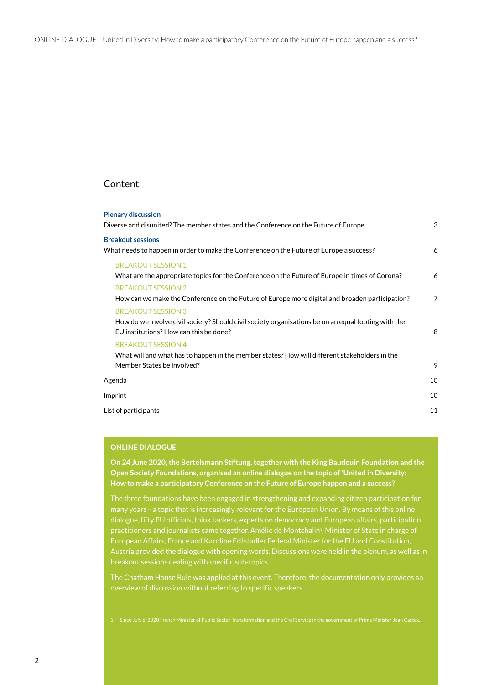#### Content

| <b>Plenary discussion</b><br>Diverse and disunited? The member states and the Conference on the Future of Europe                                                           | 3  |
|----------------------------------------------------------------------------------------------------------------------------------------------------------------------------|----|
| <b>Breakout sessions</b><br>What needs to happen in order to make the Conference on the Future of Europe a success?                                                        | 6  |
| <b>BREAKOUT SESSION 1</b><br>What are the appropriate topics for the Conference on the Future of Europe in times of Corona?                                                | 6  |
| <b>BREAKOUT SESSION 2</b><br>How can we make the Conference on the Future of Europe more digital and broaden participation?                                                | 7  |
| <b>BREAKOUT SESSION 3</b><br>How do we involve civil society? Should civil society organisations be on an equal footing with the<br>EU institutions? How can this be done? | 8  |
| <b>BREAKOUT SESSION 4</b><br>What will and what has to happen in the member states? How will different stakeholders in the<br>Member States be involved?                   | 9  |
| Agenda                                                                                                                                                                     | 10 |
| Imprint                                                                                                                                                                    | 10 |
| List of participants                                                                                                                                                       |    |
|                                                                                                                                                                            |    |

#### **ONLINE DIALOGUE**

**On 24 June 2020, the Bertelsmann Stiftung, together with the King Baudouin Foundation and the Open Society Foundations, organised an online dialogue on the topic of 'United in Diversity: How to make a participatory Conference on the Future of Europe happen and a success?'** 

The three foundations have been engaged in strengthening and expanding citizen participation for many years—a topic that is increasingly relevant for the European Union. By means of this online dialogue, fifty EU officials, think tankers, experts on democracy and European affairs, participation practitioners and journalists came together. Amélie de Montchalin<sup>1</sup>, Minister of State in charge of European Affairs, France and Karoline Edtstadler Federal Minister for the EU and Constitution, Austria provided the dialogue with opening words. Discussions were held in the plenum, as well as in breakout sessions dealing with specific sub-topics.

The Chatham House Rule was applied at this event. Therefore, the documentation only provides an overview of discussion without referring to specific speakers.

1 Since July 6, 2020 French Minister of Public Sector Transformation and the Civil Service in the government of Prime Minister Jean Castex.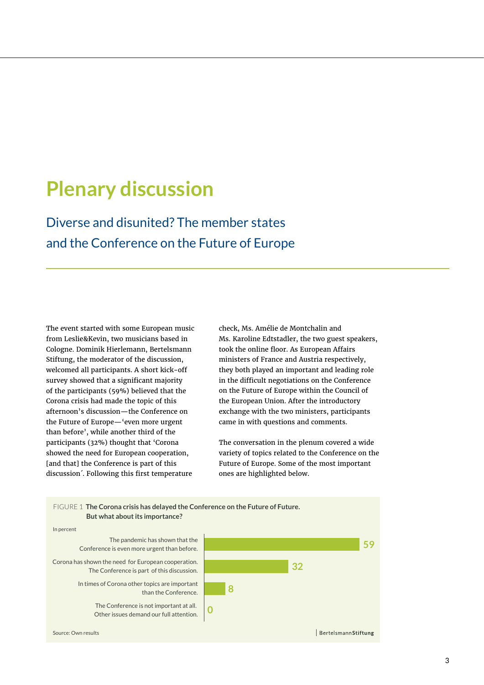## **Plenary discussion**

Diverse and disunited? The member states and the Conference on the Future of Europe

The event started with some European music from Leslie&Kevin, two musicians based in Cologne. Dominik Hierlemann, Bertelsmann Stiftung, the moderator of the discussion, welcomed all participants. A short kick-off survey showed that a significant majority of the participants (59%) believed that the Corona crisis had made the topic of this afternoon's discussion—the Conference on the Future of Europe—'even more urgent than before', while another third of the participants (32%) thought that 'Corona showed the need for European cooperation, [and that] the Conference is part of this discussion´. Following this first temperature

check, Ms. Amélie de Montchalin and Ms. Karoline Edtstadler, the two guest speakers, took the online floor. As European Affairs ministers of France and Austria respectively, they both played an important and leading role in the difficult negotiations on the Conference on the Future of Europe within the Council of the European Union. After the introductory exchange with the two ministers, participants came in with questions and comments.

The conversation in the plenum covered a wide variety of topics related to the Conference on the Future of Europe. Some of the most important ones are highlighted below.

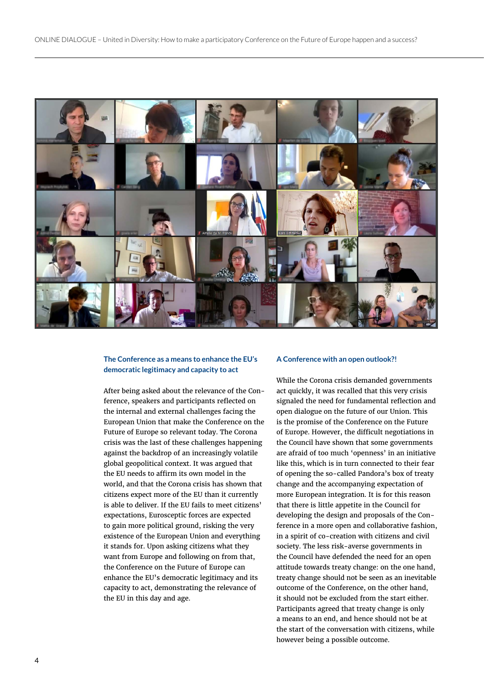

#### **The Conference as a means to enhance the EU's democratic legitimacy and capacity to act**

After being asked about the relevance of the Conference, speakers and participants reflected on the internal and external challenges facing the European Union that make the Conference on the Future of Europe so relevant today. The Corona crisis was the last of these challenges happening against the backdrop of an increasingly volatile global geopolitical context. It was argued that the EU needs to affirm its own model in the world, and that the Corona crisis has shown that citizens expect more of the EU than it currently is able to deliver. If the EU fails to meet citizens' expectations, Eurosceptic forces are expected to gain more political ground, risking the very existence of the European Union and everything it stands for. Upon asking citizens what they want from Europe and following on from that, the Conference on the Future of Europe can enhance the EU's democratic legitimacy and its capacity to act, demonstrating the relevance of the EU in this day and age.

#### **A Conference with an open outlook?!**

While the Corona crisis demanded governments act quickly, it was recalled that this very crisis signaled the need for fundamental reflection and open dialogue on the future of our Union. This is the promise of the Conference on the Future of Europe. However, the difficult negotiations in the Council have shown that some governments are afraid of too much 'openness' in an initiative like this, which is in turn connected to their fear of opening the so-called Pandora's box of treaty change and the accompanying expectation of more European integration. It is for this reason that there is little appetite in the Council for developing the design and proposals of the Conference in a more open and collaborative fashion, in a spirit of co-creation with citizens and civil society. The less risk-averse governments in the Council have defended the need for an open attitude towards treaty change: on the one hand, treaty change should not be seen as an inevitable outcome of the Conference, on the other hand, it should not be excluded from the start either. Participants agreed that treaty change is only a means to an end, and hence should not be at the start of the conversation with citizens, while however being a possible outcome.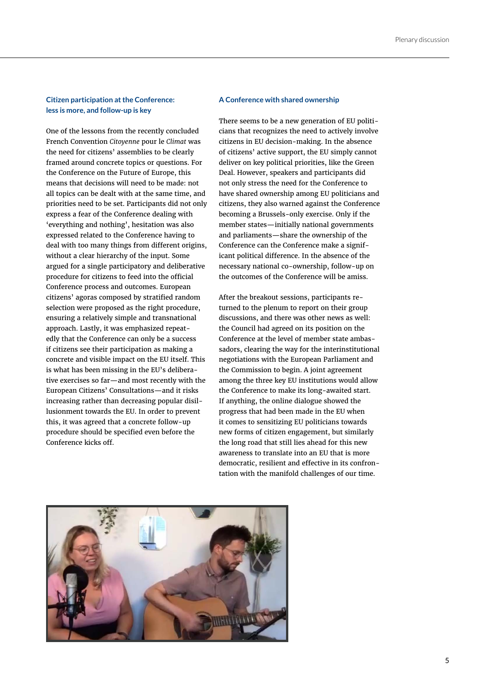#### **Citizen participation at the Conference: less is more, and follow-up is key**

One of the lessons from the recently concluded French Convention *Citoyenne* pour le *Climat* was the need for citizens' assemblies to be clearly framed around concrete topics or questions. For the Conference on the Future of Europe, this means that decisions will need to be made: not all topics can be dealt with at the same time, and priorities need to be set. Participants did not only express a fear of the Conference dealing with 'everything and nothing', hesitation was also expressed related to the Conference having to deal with too many things from different origins, without a clear hierarchy of the input. Some argued for a single participatory and deliberative procedure for citizens to feed into the official Conference process and outcomes. European citizens' agoras composed by stratified random selection were proposed as the right procedure, ensuring a relatively simple and transnational approach. Lastly, it was emphasized repeatedly that the Conference can only be a success if citizens see their participation as making a concrete and visible impact on the EU itself. This is what has been missing in the EU's deliberative exercises so far—and most recently with the European Citizens' Consultations—and it risks increasing rather than decreasing popular disillusionment towards the EU. In order to prevent this, it was agreed that a concrete follow-up procedure should be specified even before the Conference kicks off.

#### **A Conference with shared ownership**

There seems to be a new generation of EU politicians that recognizes the need to actively involve citizens in EU decision-making. In the absence of citizens' active support, the EU simply cannot deliver on key political priorities, like the Green Deal. However, speakers and participants did not only stress the need for the Conference to have shared ownership among EU politicians and citizens, they also warned against the Conference becoming a Brussels-only exercise. Only if the member states—initially national governments and parliaments—share the ownership of the Conference can the Conference make a significant political difference. In the absence of the necessary national co-ownership, follow-up on the outcomes of the Conference will be amiss.

After the breakout sessions, participants returned to the plenum to report on their group discussions, and there was other news as well: the Council had agreed on its position on the Conference at the level of member state ambassadors, clearing the way for the interinstitutional negotiations with the European Parliament and the Commission to begin. A joint agreement among the three key EU institutions would allow the Conference to make its long-awaited start. If anything, the online dialogue showed the progress that had been made in the EU when it comes to sensitizing EU politicians towards new forms of citizen engagement, but similarly the long road that still lies ahead for this new awareness to translate into an EU that is more democratic, resilient and effective in its confrontation with the manifold challenges of our time.

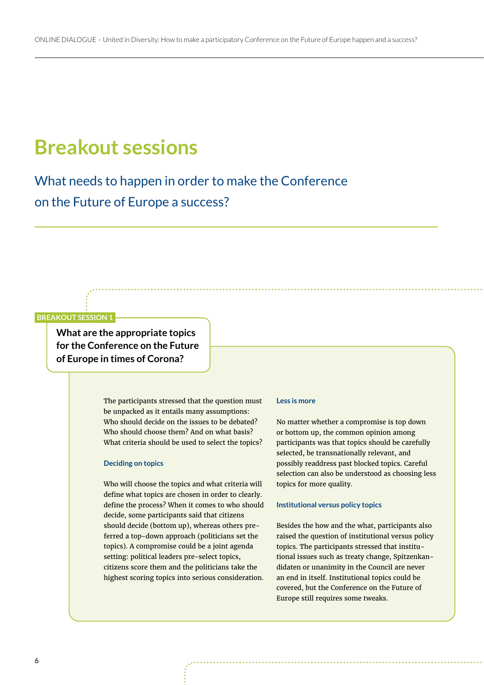## **Breakout sessions**

What needs to happen in order to make the Conference on the Future of Europe a success?

#### **BREAKOUT SESSION 1**

**What are the appropriate topics for the Conference on the Future of Europe in times of Corona?**

> The participants stressed that the question must be unpacked as it entails many assumptions: Who should decide on the issues to be debated? Who should choose them? And on what basis? What criteria should be used to select the topics?

#### **Deciding on topics**

Who will choose the topics and what criteria will define what topics are chosen in order to clearly. define the process? When it comes to who should decide, some participants said that citizens should decide (bottom up), whereas others preferred a top-down approach (politicians set the topics). A compromise could be a joint agenda setting: political leaders pre-select topics, citizens score them and the politicians take the highest scoring topics into serious consideration.

#### **Less is more**

No matter whether a compromise is top down or bottom up, the common opinion among participants was that topics should be carefully selected, be transnationally relevant, and possibly readdress past blocked topics. Careful selection can also be understood as choosing less topics for more quality.

#### **Institutional versus policy topics**

Besides the how and the what, participants also raised the question of institutional versus policy topics. The participants stressed that institutional issues such as treaty change, Spitzenkandidaten or unanimity in the Council are never an end in itself. Institutional topics could be covered, but the Conference on the Future of Europe still requires some tweaks.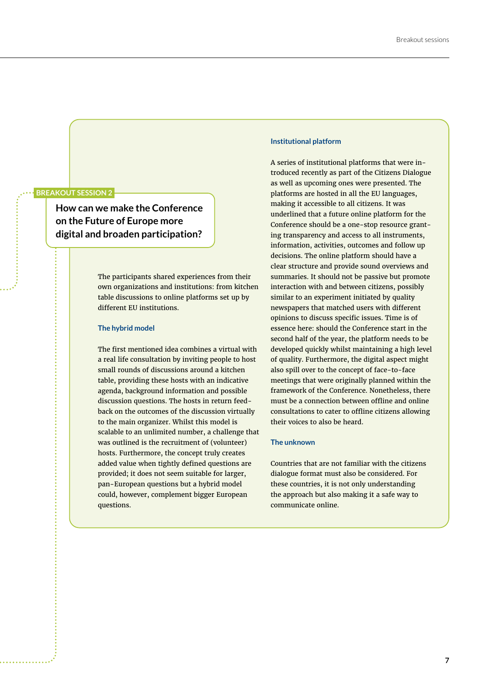#### **BREAKOUT SESSION 2**

**How can we make the Conference on the Future of Europe more digital and broaden participation?**

> The participants shared experiences from their own organizations and institutions: from kitchen table discussions to online platforms set up by different EU institutions.

#### **The hybrid model**

The first mentioned idea combines a virtual with a real life consultation by inviting people to host small rounds of discussions around a kitchen table, providing these hosts with an indicative agenda, background information and possible discussion questions. The hosts in return feedback on the outcomes of the discussion virtually to the main organizer. Whilst this model is scalable to an unlimited number, a challenge that was outlined is the recruitment of (volunteer) hosts. Furthermore, the concept truly creates added value when tightly defined questions are provided; it does not seem suitable for larger, pan-European questions but a hybrid model could, however, complement bigger European questions.

#### **Institutional platform**

A series of institutional platforms that were introduced recently as part of the Citizens Dialogue as well as upcoming ones were presented. The platforms are hosted in all the EU languages, making it accessible to all citizens. It was underlined that a future online platform for the Conference should be a one-stop resource granting transparency and access to all instruments, information, activities, outcomes and follow up decisions. The online platform should have a clear structure and provide sound overviews and summaries. It should not be passive but promote interaction with and between citizens, possibly similar to an experiment initiated by quality newspapers that matched users with different opinions to discuss specific issues. Time is of essence here: should the Conference start in the second half of the year, the platform needs to be developed quickly whilst maintaining a high level of quality. Furthermore, the digital aspect might also spill over to the concept of face-to-face meetings that were originally planned within the framework of the Conference. Nonetheless, there must be a connection between offline and online consultations to cater to offline citizens allowing their voices to also be heard.

#### **The unknown**

Countries that are not familiar with the citizens dialogue format must also be considered. For these countries, it is not only understanding the approach but also making it a safe way to communicate online.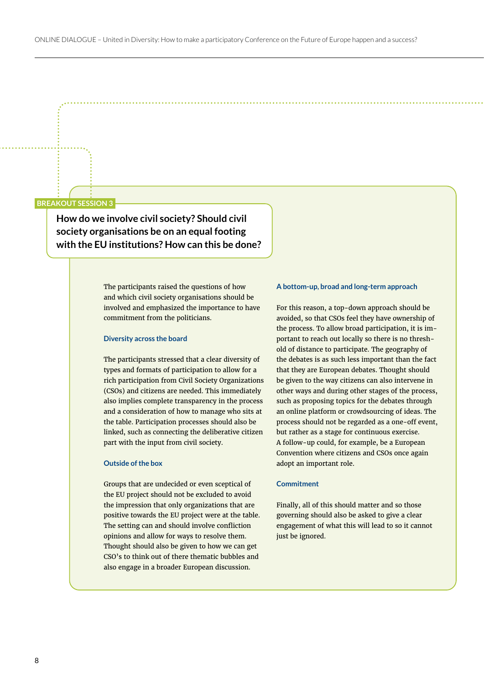#### **BREAKOUT SESSION 3**

**How do we involve civil society? Should civil society organisations be on an equal footing with the EU institutions? How can this be done?**

> The participants raised the questions of how and which civil society organisations should be involved and emphasized the importance to have commitment from the politicians.

#### **Diversity across the board**

The participants stressed that a clear diversity of types and formats of participation to allow for a rich participation from Civil Society Organizations (CSOs) and citizens are needed. This immediately also implies complete transparency in the process and a consideration of how to manage who sits at the table. Participation processes should also be linked, such as connecting the deliberative citizen part with the input from civil society.

#### **Outside of the box**

Groups that are undecided or even sceptical of the EU project should not be excluded to avoid the impression that only organizations that are positive towards the EU project were at the table. The setting can and should involve confliction opinions and allow for ways to resolve them. Thought should also be given to how we can get CSO's to think out of there thematic bubbles and also engage in a broader European discussion.

#### **A bottom-up, broad and long-term approach**

For this reason, a top-down approach should be avoided, so that CSOs feel they have ownership of the process. To allow broad participation, it is important to reach out locally so there is no threshold of distance to participate. The geography of the debates is as such less important than the fact that they are European debates. Thought should be given to the way citizens can also intervene in other ways and during other stages of the process, such as proposing topics for the debates through an online platform or crowdsourcing of ideas. The process should not be regarded as a one-off event, but rather as a stage for continuous exercise. A follow-up could, for example, be a European Convention where citizens and CSOs once again adopt an important role.

#### **Commitment**

Finally, all of this should matter and so those governing should also be asked to give a clear engagement of what this will lead to so it cannot just be ignored.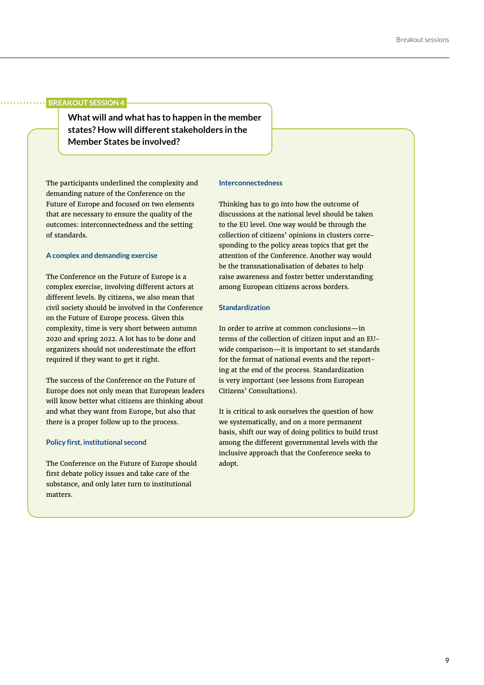#### **BREAKOUT SESSION 4**

**What will and what has to happen in the member states? How will different stakeholders in the Member States be involved?**

The participants underlined the complexity and demanding nature of the Conference on the Future of Europe and focused on two elements that are necessary to ensure the quality of the outcomes: interconnectedness and the setting of standards.

#### **A complex and demanding exercise**

The Conference on the Future of Europe is a complex exercise, involving different actors at different levels. By citizens, we also mean that civil society should be involved in the Conference on the Future of Europe process. Given this complexity, time is very short between autumn 2020 and spring 2022. A lot has to be done and organizers should not underestimate the effort required if they want to get it right.

The success of the Conference on the Future of Europe does not only mean that European leaders will know better what citizens are thinking about and what they want from Europe, but also that there is a proper follow up to the process.

#### **Policy first, institutional second**

The Conference on the Future of Europe should first debate policy issues and take care of the substance, and only later turn to institutional matters.

#### **Interconnectedness**

Thinking has to go into how the outcome of discussions at the national level should be taken to the EU level. One way would be through the collection of citizens' opinions in clusters corresponding to the policy areas topics that get the attention of the Conference. Another way would be the transnationalisation of debates to help raise awareness and foster better understanding among European citizens across borders.

#### **Standardization**

In order to arrive at common conclusions—in terms of the collection of citizen input and an EUwide comparison—it is important to set standards for the format of national events and the reporting at the end of the process. Standardization is very important (see lessons from European Citizens' Consultations).

It is critical to ask ourselves the question of how we systematically, and on a more permanent basis, shift our way of doing politics to build trust among the different governmental levels with the inclusive approach that the Conference seeks to adopt.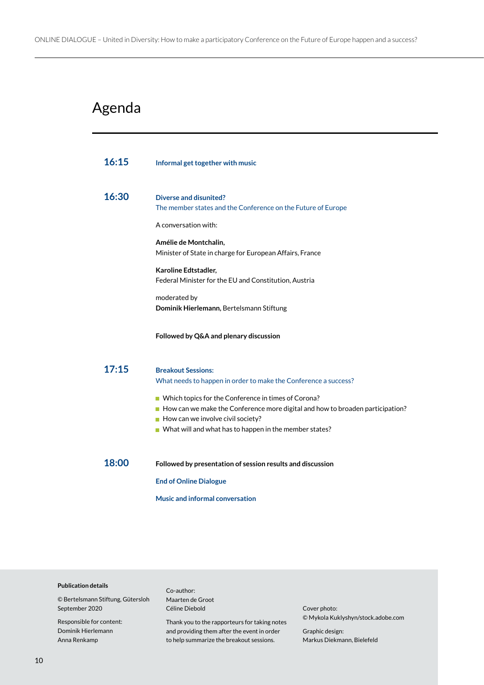### Agenda

| 16:15 | Informal get together with music                                                                                                                                                                                                                       |
|-------|--------------------------------------------------------------------------------------------------------------------------------------------------------------------------------------------------------------------------------------------------------|
| 16:30 | <b>Diverse and disunited?</b><br>The member states and the Conference on the Future of Europe                                                                                                                                                          |
|       | A conversation with:                                                                                                                                                                                                                                   |
|       | Amélie de Montchalin,<br>Minister of State in charge for European Affairs, France                                                                                                                                                                      |
|       | Karoline Edtstadler,<br>Federal Minister for the EU and Constitution, Austria                                                                                                                                                                          |
|       | moderated by<br>Dominik Hierlemann, Bertelsmann Stiftung                                                                                                                                                                                               |
|       | Followed by Q&A and plenary discussion                                                                                                                                                                                                                 |
| 17:15 | <b>Breakout Sessions:</b><br>What needs to happen in order to make the Conference a success?                                                                                                                                                           |
|       | ■ Which topics for the Conference in times of Corona?<br>How can we make the Conference more digital and how to broaden participation?<br>$\blacksquare$ How can we involve civil society?<br>■ What will and what has to happen in the member states? |
| 18:00 | Followed by presentation of session results and discussion                                                                                                                                                                                             |
|       | <b>End of Online Dialogue</b>                                                                                                                                                                                                                          |
|       | <b>Music and informal conversation</b>                                                                                                                                                                                                                 |

#### **Publication details**

© Bertelsmann Stiftung, Gütersloh September 2020

Responsible for content: Dominik Hierlemann Anna Renkamp

Co-author: Maarten de Groot Céline Diebold

Thank you to the rapporteurs for taking notes and providing them after the event in order to help summarize the breakout sessions.

Cover photo: © Mykola Kuklyshyn/stock.adobe.com

Graphic design: Markus Diekmann, Bielefeld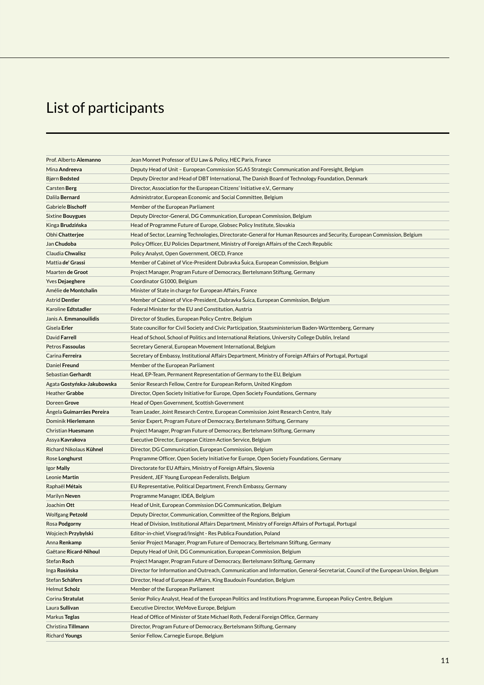### List of participants

| Prof. Alberto Alemanno     | Jean Monnet Professor of EU Law & Policy, HEC Paris, France                                                                       |
|----------------------------|-----------------------------------------------------------------------------------------------------------------------------------|
| Mina Andreeva              | Deputy Head of Unit - European Commission SG.A5 Strategic Communication and Foresight, Belgium                                    |
| Bjørn Bedsted              | Deputy Director and Head of DBT International, The Danish Board of Technology Foundation, Denmark                                 |
| Carsten Berg               | Director, Association for the European Citizens' Initiative e.V., Germany                                                         |
| Dalila Bernard             | Administrator, European Economic and Social Committee, Belgium                                                                    |
| Gabriele Bischoff          | Member of the European Parliament                                                                                                 |
| <b>Sixtine Bouygues</b>    | Deputy Director-General, DG Communication, European Commission, Belgium                                                           |
| Kinga <b>Brudzińska</b>    | Head of Programme Future of Europe, Globsec Policy Institute, Slovakia                                                            |
| Obhi Chatterjee            | Head of Sector, Learning Technologies, Directorate-General for Human Resources and Security, European Commission, Belgium         |
| Jan Chudoba                | Policy Officer, EU Policies Department, Ministry of Foreign Affairs of the Czech Republic                                         |
| Claudia Chwalisz           | Policy Analyst, Open Government, OECD, France                                                                                     |
| Mattia de' Grassi          | Member of Cabinet of Vice-President Dubravka Šuica, European Commission, Belgium                                                  |
| Maarten de Groot           | Project Manager, Program Future of Democracy, Bertelsmann Stiftung, Germany                                                       |
| <b>Yves Dejaeghere</b>     | Coordinator G1000, Belgium                                                                                                        |
| Amélie de Montchalin       | Minister of State in charge for European Affairs, France                                                                          |
| <b>Astrid Dentler</b>      | Member of Cabinet of Vice-President, Dubravka Suica, European Commission, Belgium                                                 |
| Karoline Edtstadler        | Federal Minister for the EU and Constitution, Austria                                                                             |
| Janis A. Emmanouilidis     | Director of Studies, European Policy Centre, Belgium                                                                              |
| Gisela Erler               | State councillor for Civil Society and Civic Participation, Staatsministerium Baden-Württemberg, Germany                          |
| David Farrell              | Head of School, School of Politics and International Relations, University College Dublin, Ireland                                |
| Petros Fassoulas           | Secretary General, European Movement International, Belgium                                                                       |
| Carina Ferreira            | Secretary of Embassy, Institutional Affairs Department, Ministry of Foreign Affairs of Portugal, Portugal                         |
| Daniel Freund              | Member of the European Parliament                                                                                                 |
| Sebastian Gerhardt         | Head, EP-Team, Permanent Representation of Germany to the EU, Belgium                                                             |
| Agata Gostyńska-Jakubowska | Senior Research Fellow, Centre for European Reform, United Kingdom                                                                |
| Heather Grabbe             | Director, Open Society Initiative for Europe, Open Society Foundations, Germany                                                   |
| Doreen Grove               | Head of Open Government, Scottish Government                                                                                      |
| Angela Guimarrães Pereira  | Team Leader, Joint Research Centre, European Commission Joint Research Centre, Italy                                              |
| Dominik Hierlemann         | Senior Expert, Program Future of Democracy, Bertelsmann Stiftung, Germany                                                         |
| Christian Huesmann         | Project Manager, Program Future of Democracy, Bertelsmann Stiftung, Germany                                                       |
| Assya Kavrakova            | Executive Director, European Citizen Action Service, Belgium                                                                      |
| Richard Nikolaus Kühnel    | Director, DG Communication, European Commission, Belgium                                                                          |
| Rose Longhurst             | Programme Officer, Open Society Initiative for Europe, Open Society Foundations, Germany                                          |
| Igor Mally                 | Directorate for EU Affairs, Ministry of Foreign Affairs, Slovenia                                                                 |
| Leonie Martin              | President, JEF Young European Federalists, Belgium                                                                                |
| Raphaël Métais             | EU Representative, Political Department, French Embassy, Germany                                                                  |
| Marilyn Neven              | Programme Manager, IDEA, Belgium                                                                                                  |
| Joachim Ott                | Head of Unit, European Commission DG Communication, Belgium                                                                       |
| <b>Wolfgang Petzold</b>    | Deputy Director, Communication, Committee of the Regions, Belgium                                                                 |
| Rosa Podgorny              | Head of Division, Institutional Affairs Department, Ministry of Foreign Affairs of Portugal, Portugal                             |
| Wojciech Przybylski        | Editor-in-chief, Visegrad/Insight - Res Publica Foundation, Poland                                                                |
| Anna Renkamp               | Senior Project Manager, Program Future of Democracy, Bertelsmann Stiftung, Germany                                                |
| Gaëtane Ricard-Nihoul      | Deputy Head of Unit, DG Communication, European Commission, Belgium                                                               |
| <b>Stefan Roch</b>         | Project Manager, Program Future of Democracy, Bertelsmann Stiftung, Germany                                                       |
| Inga Rosińska              | Director for Information and Outreach, Communication and Information, General-Secretariat, Council of the European Union, Belgium |
| Stefan Schäfers            | Director, Head of European Affairs, King Baudouin Foundation, Belgium                                                             |
| <b>Helmut Scholz</b>       | Member of the European Parliament                                                                                                 |
| Corina Stratulat           | Senior Policy Analyst, Head of the European Politics and Institutions Programme, European Policy Centre, Belgium                  |
| Laura Sullivan             | Executive Director, WeMove Europe, Belgium                                                                                        |
| Markus Teglas              | Head of Office of Minister of State Michael Roth, Federal Foreign Office, Germany                                                 |
| Christina Tillmann         | Director, Program Future of Democracy, Bertelsmann Stiftung, Germany                                                              |
| <b>Richard Youngs</b>      | Senior Fellow, Carnegie Europe, Belgium                                                                                           |